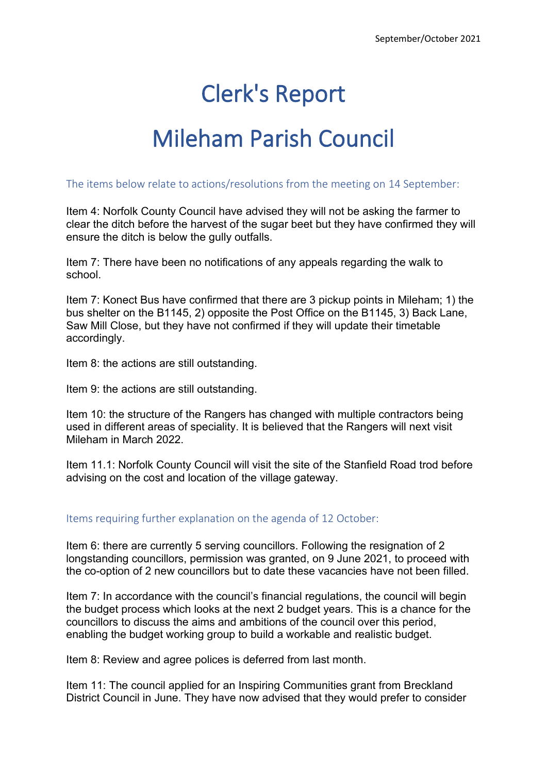## Clerk's Report

## Mileham Parish Council

The items below relate to actions/resolutions from the meeting on 14 September:

Item 4: Norfolk County Council have advised they will not be asking the farmer to clear the ditch before the harvest of the sugar beet but they have confirmed they will ensure the ditch is below the gully outfalls.

Item 7: There have been no notifications of any appeals regarding the walk to school.

Item 7: Konect Bus have confirmed that there are 3 pickup points in Mileham; 1) the bus shelter on the B1145, 2) opposite the Post Office on the B1145, 3) Back Lane, Saw Mill Close, but they have not confirmed if they will update their timetable accordingly.

Item 8: the actions are still outstanding.

Item 9: the actions are still outstanding.

Item 10: the structure of the Rangers has changed with multiple contractors being used in different areas of speciality. It is believed that the Rangers will next visit Mileham in March 2022.

Item 11.1: Norfolk County Council will visit the site of the Stanfield Road trod before advising on the cost and location of the village gateway.

## Items requiring further explanation on the agenda of 12 October:

Item 6: there are currently 5 serving councillors. Following the resignation of 2 longstanding councillors, permission was granted, on 9 June 2021, to proceed with the co-option of 2 new councillors but to date these vacancies have not been filled.

Item 7: In accordance with the council's financial regulations, the council will begin the budget process which looks at the next 2 budget years. This is a chance for the councillors to discuss the aims and ambitions of the council over this period, enabling the budget working group to build a workable and realistic budget.

Item 8: Review and agree polices is deferred from last month.

Item 11: The council applied for an Inspiring Communities grant from Breckland District Council in June. They have now advised that they would prefer to consider